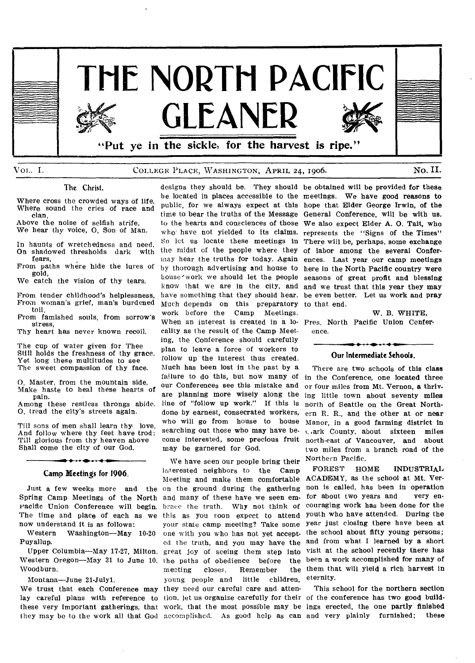

## VOL. I. COLLEGE PLACE, WASHINGTON, APRIL 24, 1906. NO. II.

#### The Christ.

Where cross the crowded ways of life. Where sound the cries of race and clan,

Above the noise of selfish strife, We hear thy voice, **0,** Son of Man.

In haunts of wretchedness and need.<br>On shadowed thresholds dark with On shadowed thresholds dark fears,

From paths where hide the lures of gold,

We catch the vision of thy tears.

From tender childhood's helplessness, From woman's grief, man's burdened toil,

From famished souls, from sorrow's stress,

Thy heart has never known recoil.

The cup of water given for Thee Still holds the freshness of thy grace. Yet long these multitudes to see The sweet compassion of thy face.

0, Master, from the mountain side, Make haste to heal these hearts of pain.

Among these restless throngs abide. 0, tread the city's streets again.

Till sons of men shall learn thy love, And follow where thy feet have trod; Till glorious from thy heaven above Shall come the city of our God.

## • **Camp Meetings for 1906.**

Spring Camp Meetings of the North and many of these have we seen emracific Union Conference will begin. brace the truth. Why not think of The time and place of each as we now understand it is as follows:<br>Western Washington---May

Washington—May 10-20 Puyallup.

Woodburn.

Montana—June 21-Julyl.

they may be to the work all that God accomplished. As good help as can and very plainly furnished; **these** 

he located in places accessible to the meetings. We have good reasons **to**  public, for we always expect at this hope that Elder George Irwin, **of the**  time to bear the truths of the Message General Conference, **will be with us.**  to the hearts and consciences of those We also expect **Elder A. 0. Tait, who**  who have not yielded to its claims. represents the "Signs of the Times" So let us locate these meetings in There will be, **perhaps, some exchange**  the midst of the people where they of labor **among the several** Confermay hear the truths for today. Again ences. Last year our camp meetings by thorough advertising and house to here in the **North Pacific country were**  house'work we should let the people seasons of great **profit and blessing**  know that we are in the city, and and we trust that this **year they** may have something that they should hear. be even better. Let us work **and** pray Much depends on this preparatory to that end. work before the Camp Meetings. When an interest is created in a lo-Pres. North Pacific Union Confercality as the result of the Camp Meeting, the Conference should carefully plan to leave a force of workers to follow up the interest thus created. Much has been lost in the past by a failure to do this, but now many of our Conferences see this mistake and are planning more wisely along the line of "follow up work." If this is done by earnest, consecrated workers, who will go from house to house searching out those who may have become interested, some precious fruit may be garnered for God.

Just a few weeks more and the on the ground during the gathering Upper Columbia—May 17-27, Milton. great joy of seeing them step into Western Oregon—May 31 to June 10, the paths of obedience before the We trust that each Conference may they need our careful care and attenlay careful plans with reference to tion, let us organize carefully for their of the conference has two **good** buildthese very important gatherings, that work, that the most possible may be ings erected, the one **partly** finished We have seen our people bring their interested neighbors to the Camp Meeting and make them comfortable this as you soon expect to attend your state camp meeting? Take some one with you who has not yet accept. ed the truth, and you may have the meeting closes. Remember<br>young people and little ch young people and little children,

designs they should be. They should be obtained **will be provided for** these

**W. B. WHITE,**  ence.

## • , • • **Our Intermediate Schools.**

There are two schools **of this** class in the Conference, one **located three**  or four miles from Mt. Vernon, a **thriving** little town **about seventy** miles north of Seattle **on the Great Northern R. R.,** and the **other at or near**  Manor, in a good **farming district in**  ark County, about sixteen **miles**  north-east of Vancouver, **and about**  two miles from a branch road of **the**  Northern Pacific.

FOREST HOME INDUSTRIAL ACADEMY, as the school at **Mt. Vernon** is called, has been in **operation**  for about two years and couraging work has been done **for the**  youth who have attended. During the year just closing **there have been at**  the school about fifty young persons; and from what I **learned by a short**  visit at the school **recently there has**  been a work **accomplished for many of**  them that will yield **a rich harvest in**  eternity.

This school **for the northern section**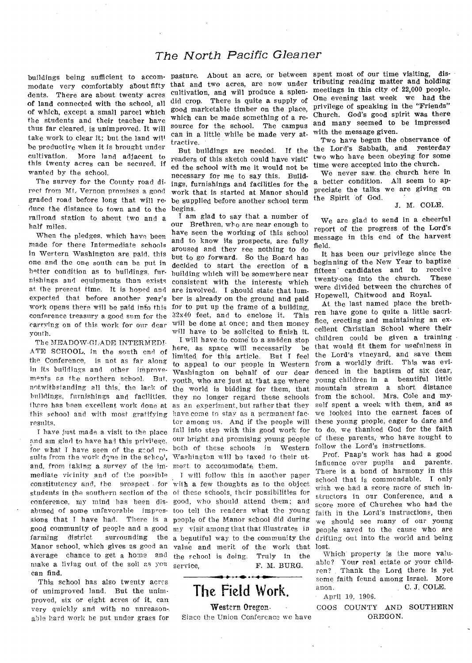## *The North Pacific Gleaner*

modate very comfortably about fifty that and two acres, are now under dents. There are about twenty acres of land connected with the school, all of which, except a small parcel which the students and their teacher have thus far cleared, is unimproved. It will take work to clear it; but the land will be productive when it is brought under cultivation. More land adjacent to this twenty acres can he secured, if wanted by the school.

The survey for the County road direct from Mt, Vernon promises a good graded road before long that will reduce the distance to town and to the railroad station to about two and a half miles.

When the pledges. which have been made for these Intermediate schools in Western Washington are paid, this one and the one south can be put in better condition as to buildings, furnishings and equipments than exists at the present time. It is hoped and expected that before another year's work opens there will be paid info this conference treasury a good sum for the  $32x40$  feet, and to enclose it. This carrying on of this work for our dear will he done at once; and then money youth.

The MEADOW-GLADE INTERMEDI-ATE SCHOOL, in the south end of the Conference, is not as far along in its buildings and other improvements as the northern school. But. notwithstanding all this, the lack of the world is bidding for them, that buildings, furnishings and facilities, they no longer regard these schools ikere has been excellent work done at as an experiment, but rather that they this school and with most gratifying have come to stay as a permanent facresults.

and am glad to have had this privilege, our bright and promising young people for what I have seen of the good re- both of these schools in Western sults from the work done in the school, Washington will be taxed to their utand, from taking a survey of the im-most to accommodate them. mediate vicinity and of the possible constitutency and, the prospect . for with a few thoughts as to the object students in the southern section of the of these schools, their possibilities for conference, my mind has been dis-good, who should attend them; and abused of some unfavorable impres-too tell the readers what the young sions that I have had. There is a people of the Manor school did during good community of people and a good my visit among that that illustrates in farming district surrounding the a beautiful way to the community the Manor school, which gives as good an value and merit of the work that average chance to get a home and the school is doing. Truly in the make a living out of the soil as you service, can find.

This school has also twenty acres of unimproved- land. But the unimproved, six or eight acres of it, can very quickly and with no unreason-, able hard work be put under grass for

cultivation, and will produce a splendid crop. There is quite a supply of good marketable timber on the place, which can be made something of a resource for the school. The campus can in a little-while be made very attractive. •

But buildings are needed. If the readers of this sketch could have visited the school with me it would not he necessary for me to say this. Buildings, furnishings and facilities for the work that is started at Manor should be supplied before another school term begins.

I am glad to say that a number of our Brethren, who are near enough to have seen the working of this school and to know its prospects, are fully aroused and they see nothing to do but to go forward. So the Board has decided to start the erection of a building which will be somewhere near consistent with the interests which are involved. I should state that lumber is already on the ground and paid for to put up the frame of a building, will have to be solicited to finish it.

have just made a visit to the place fall into step with this good work for I will have to come to a sudden stop here, as space will necessarily be limited for this article. But I feel to appeal to our people in Western Washington on behalf of our dear youth, who are just. at that age where tor among us. And if the people will

> will follow this in another paper F. M. BURG.



Western Oregon.

Since the Union Conference we have

buildings being sufficient to accom- pasture. About an acre, or between spent most of our time visiting, distributing reading matter and holding meetings in this city of 22,000 people. One evening last week we had the privilege of speaking in the "Friends" Church. God's good spirit was there and many seemed to be impressed with the message given.

Two have begun the observance of the Lord's Sabbath, and yesterday two who have been obeying for some time were accepted into the church.

We never saw the church here in a better condition. All seem to appreciate the talks we are giving on the Spirit of God.

#### J. M. COLE.

We are glad to send in a cheerful report of the progress of the Lord's message in this end of the harvest field.

It has been our privilege since the beginning of the New Year to baptize fifteen' candidates and to receive<br>twenty-one into the church. These twenty-one into the church. were divided between the churches of Hopewell, Chitwood and Royal.

At the last named place the brethren have gone to quite a little sacrifice, erecting and maintaining an excellent Christian School where their children could be given a training that would fit them for usefulness in the Lord's vineyard, and save them from a worldly drift. This was evidenced in the baptism of six dear, young children in a beautiful little mountain stream a short distance from the school. Mrs. Cole and myself spent a week with them, and as we .looked into the earnest faces of these young people, eager to dare and to do, we thanked God for the faith of these parents, who have sought to follow the Lord's instructions.

Prof. Paap's work has had a good influence over pupils and parents. There is a bond of harmony in this school that is commendable. I only wish we had a score more of such instructors in our Conference, and a score more of Churches who had the faith in the Lord's instructions, then we should see many of our young people saved to the cause who are drifting out into the world and being lost.

Which property is the more valuable? Your real estate or your child-<br>ren? Thank the Lord there is yet Thank the Lord there is yet some faith found among Israel. More anon. C. J. COLE.

April 10, 1906.

COOS COUNTY AND SOUTHERN OREGON.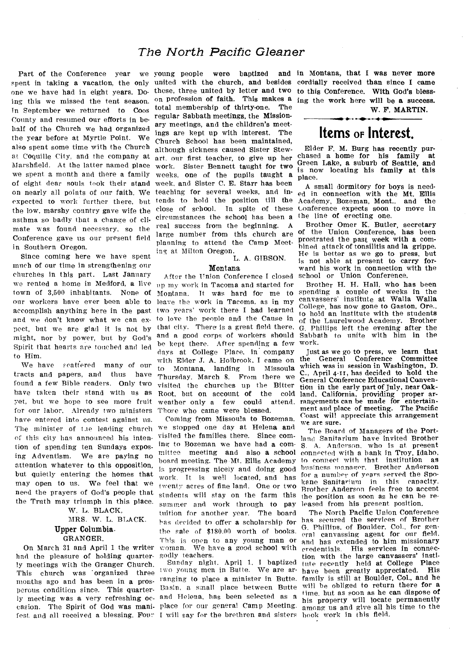## *The North Pacific Gleaner*

Part of the Conference year we young people were baptized and spent in taking a vacation, the only united with the church, and besides one we have had in eight years. Do-these, three united by letter and two ing this we missed the tent season. In September we returned to Coos County and resumed our efforts in behalf of the Church we had organized the year before at Myrtle Point. We also spent some time with the Church at Coquille City, and the company at Marshfield. At the latter named place we spent a month and there a family of eight dear souls took their stand on nearly all points of our faith. We expected to work further there, but the low, marshy country gave wife the asthma so badly that a change of climate was found necessary, so the Conference gave us our present field in Southern Oregon.

Since coming here we have spent much of our time in strengthening our churches in this part. Last January we rented a home in Medford, a live town of 3,500 inhabitants. None of our workers have ever been able to accomplish anything here in the past and we don't know what we can expect, but we are glad it is not by might, nor by power, but by God's Spirit that hearts are touched and led to Him.

We have scattered many of our tracts and papers, and thus have found a few Bible readers. Only two have taken their stand with us as yet, but we hope to see more fruit for our labor. Already two ministers have entered into contest against us. The minister of the leading church of this city has announced his intention of spending ten Sundays exposing Adventism. We are paying no attention whatever to this opposition, but quietly entering the homes that may open to us. We feel that we need the prayers of God's people that the Truth may triumph in this place.

W. L. BLACK, MRS. W. L. BLACK. Upper Columbia.

## GRANGER.

On March 31 and April 1 the writer had the pleasure of holding quarterly meetings with the Granger Church. This church was 'organized three months ago and has been in a pros-<br>months ago and has been in a pros-<br>marging to place a minister in Butte. perous condition since. This quarter-Basin. a small place between Butte ly meeting was a very refreshing oc- and Helena, has been selected as a casion. The Spirit of God was mani-place for our general Camp Meeting. fest and all received a blessing. Four I will say for the brethren and sisters

on profession of faith. This makes a total membership of thirty-one. The regular Sabbath meetings, the Missionary meetings, and the children's meetings are kept up with interest. The Church School has been maintained, although sickness caused Sister Stewart, our first teacher, to give up her work. Sister Bennett taught for two weeks, one of the pupils taught a week, and Sister C. E. Starr has been teaching for several weeks, and intends to hold the position till the close of school. In spite of these circumstances the school has been a real success from the beginning. A large number from this church are planning to attend the Camp Meeting at Milton Oregon.

## L. A. GIBSON.

## Montana

After the Union Conference I closed up my work in Tacoma and started for Montana. It was hard for me to leave the work in Tacoma, as in my two years' work there I had learned to love the people and the Cause in that city. There is a great field there, and a good corps of workers should be kept there. After spending a few days at College Place. in company with Elder J. A. Holbrook, I came on the to Montana, landing in Missoula Thursday, March 8. From there we visited the churches up the Bitter<br>Root, but on account of the cold Root, but on account of weather only a few could attend. Those who came were blessed.

Coming from Missoula to Bozeman. we stopped one day at Helena and visited the families there. Since coming to Bozeman we have had a committee meeting and also a school connected with a hank in Troy, Idaho. board meeting. The Mt. Ellis Academy is progressing nicely and doing good work. It is well located, and has twenty acres of fine land. One or two students will stay on the farm this summer and work through to pay tuition for another year. The board has decided to offer a scholarship for the sale of \$180.00 worth of books. This is open to any young man or woman. We have a good school with godly teachers.

Sunday night. April 1, I baptized two young men in Butte. We are ar-

and in Montana, that I was never more cordially received than since I came to this Conference. With God's blessing the work here will be a success. W. F. MARTIN.

# **Items OF Interest.**

Elder F. M. Burg has recently purchased a home for his family at Green Lake, a suburb of Seattle, and is now locating his family at this place.

A small dormitory for boys is needed in connection with the Mt. Ellis Academy, Bozeman, Mont., and the Conference expects soon to move in the line of erecting one.

Brother Omer K. Butler, secretary of the Union Conference, has been prostrated the past week with a combined attack of tonsilitis and la grippe. He is better as we go to press, but is not able at present to carry forward his work in connection with the school or Union Conference.

Brother H. H. Hall, who has been spending a couple of weeks in the canvassers' institute at Walla Walla College, has now gone to Gaston, Ore., to hold an institute with the students of the Laurelwood Academy. Brother G. Phillips left the evening after the Sabbath to unite with him in the work.

Just as we go to press, we learn that General Conference which was in session in Washington, D. C., April 4-11, has decided to hold the General Conference Educational Convention in the early part of July, near Oakland, California, providing proper ar-<br>rangements can be made for entertainment and place of meeting. The Pacific Coast will appreciate this arrangement we are sure.

The Board of Managers of the Portland Sanitarium have invited Brother S. A. Anderson. who is at present to connect with that institution as business manager. Brother Anderson for a number of years served the Spo-<br>kane Sanitarium in this capacity. kane Sanitarium in this Brother Anderson feels free to accent the position as soon as he can be released from his present position.

The North Pacific Union Conference has secured the services of Brother G. Phillips. of Boulder, Col., for general canvassing agent for our field. and has extended to him missionary His services in connection with the large canvassers' institute recently held at College Place<br>have been greatly appreciated. His have been greatly appreciated. family is still at Boulder, Col., and he will be obliged to return there for a time. but as soon as he can dispose of his property will locate permanently among us and give all his time to the book work in this field.